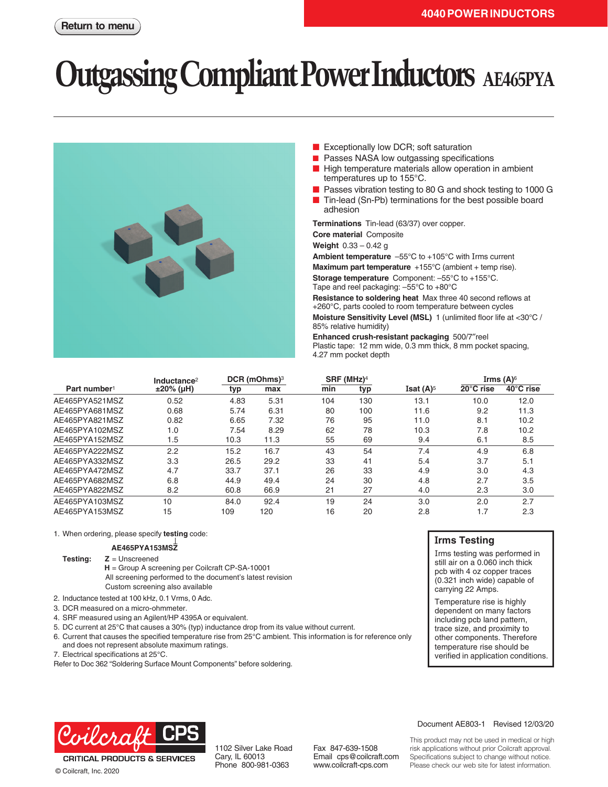# **Outgassing Compliant Power Inductors AE465PYA**



- Exceptionally low DCR; soft saturation
- Passes NASA low outgassing specifications
- High temperature materials allow operation in ambient temperatures up to 155°C.
- Passes vibration testing to 80 G and shock testing to 1000 G
- Tin-lead (Sn-Pb) terminations for the best possible board adhesion

**Terminations** Tin-lead (63/37) over copper.

**Core material** Composite

**Weight** 0.33 – 0.42 g

**Ambient temperature** –55°C to +105°C with Irms current

**Maximum part temperature** +155°C (ambient + temp rise).

**Storage temperature** Component: –55°C to +155°C. Tape and reel packaging: –55°C to +80°C

**Resistance to soldering heat** Max three 40 second reflows at +260°C, parts cooled to room temperature between cycles

**Moisture Sensitivity Level (MSL)** 1 (unlimited floor life at <30°C / 85% relative humidity)

**Enhanced crush-resistant packaging** 500/7″reel Plastic tape: 12 mm wide, 0.3 mm thick, 8 mm pocket spacing, 4.27 mm pocket depth

|                          | Inductance <sup>2</sup> | DCR (mOhms) <sup>3</sup> |      | $SRF$ (MHz) <sup>4</sup> |     |                                | Irms $(A)$ <sup>6</sup> |           |
|--------------------------|-------------------------|--------------------------|------|--------------------------|-----|--------------------------------|-------------------------|-----------|
| Part number <sup>1</sup> | $±20\%$ (µH)            | typ                      | max  | min                      | typ | <b>Isat <math>(A)^5</math></b> | 20°C rise               | 40°C rise |
| AE465PYA521MSZ           | 0.52                    | 4.83                     | 5.31 | 104                      | 130 | 13.1                           | 10.0                    | 12.0      |
| AE465PYA681MSZ           | 0.68                    | 5.74                     | 6.31 | 80                       | 100 | 11.6                           | 9.2                     | 11.3      |
| AE465PYA821MSZ           | 0.82                    | 6.65                     | 7.32 | 76                       | 95  | 11.0                           | 8.1                     | 10.2      |
| AE465PYA102MSZ           | 1.0                     | 7.54                     | 8.29 | 62                       | 78  | 10.3                           | 7.8                     | 10.2      |
| AE465PYA152MSZ           | 1.5                     | 10.3                     | 11.3 | 55                       | 69  | 9.4                            | 6.1                     | 8.5       |
| AE465PYA222MSZ           | 2.2                     | 15.2                     | 16.7 | 43                       | 54  | 7.4                            | 4.9                     | 6.8       |
| AE465PYA332MSZ           | 3.3                     | 26.5                     | 29.2 | 33                       | 41  | 5.4                            | 3.7                     | 5.1       |
| AE465PYA472MSZ           | 4.7                     | 33.7                     | 37.1 | 26                       | 33  | 4.9                            | 3.0                     | 4.3       |
| AE465PYA682MSZ           | 6.8                     | 44.9                     | 49.4 | 24                       | 30  | 4.8                            | 2.7                     | 3.5       |
| AE465PYA822MSZ           | 8.2                     | 60.8                     | 66.9 | 21                       | 27  | 4.0                            | 2.3                     | 3.0       |
| AE465PYA103MSZ           | 10                      | 84.0                     | 92.4 | 19                       | 24  | 3.0                            | 2.0                     | 2.7       |
| AE465PYA153MSZ           | 15                      | 109                      | 120  | 16                       | 20  | 2.8                            | 1.7                     | 2.3       |

1. When ordering, please specify **testing** code:

#### **AE465PYA153MSZ**

**Testing: Z** = Unscreened

**H** = Group A screening per Coilcraft CP-SA-10001 All screening performed to the document's latest revision Custom screening also available

- 2. Inductance tested at 100 kHz, 0.1 Vrms, 0 Adc.
- 3. DCR measured on a micro-ohmmeter.
- 4. SRF measured using an Agilent/HP 4395A or equivalent.
- 5. DC current at 25°C that causes a 30% (typ) inductance drop from its value without current.
- 6. Current that causes the specified temperature rise from 25°C ambient. This information is for reference only and does not represent absolute maximum ratings.
- 7. Electrical specifications at 25°C.

Refer to Doc 362 "Soldering Surface Mount Components" before soldering.



© Coilcraft, Inc. 2020

1102 Silver Lake Road Cary, IL 60013 Phone 800-981-0363

Fax 847-639-1508 Email cps@coilcraft.com www.coilcraft-cps.com

### **Irms Testing**

Irms testing was performed in still air on a 0.060 inch thick pcb with 4 oz copper traces (0.321 inch wide) capable of carrying 22 Amps.

Temperature rise is highly dependent on many factors including pcb land pattern, trace size, and proximity to other components. Therefore temperature rise should be verified in application conditions.



This product may not be used in medical or high risk applications without prior Coilcraft approval. Specifications subject to change without notice. Please check our web site for latest information.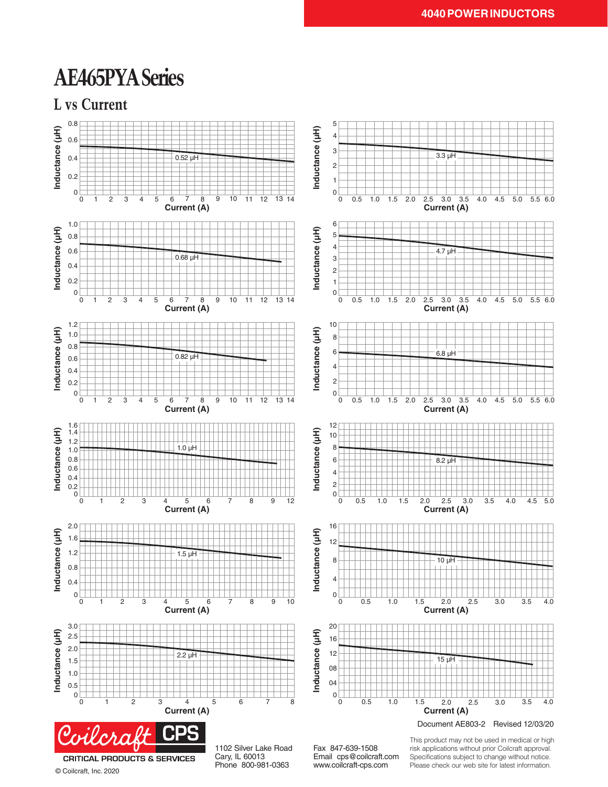## **AE465PYA Series**





© Coilcraft, Inc. 2020

Cary, IL 60013 Phone 800-981-0363

Email cps@coilcraft.com www.coilcraft-cps.com

Specifications subject to change without notice. Please check our web site for latest information.